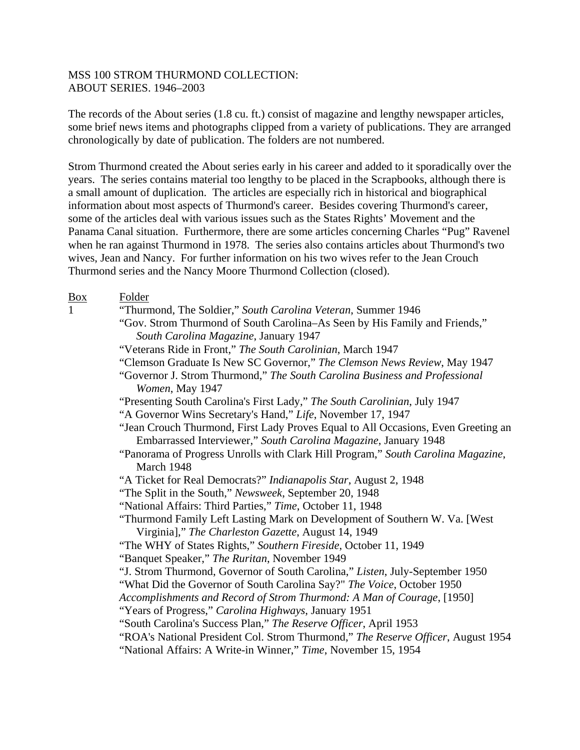The records of the About series (1.8 cu. ft.) consist of magazine and lengthy newspaper articles, some brief news items and photographs clipped from a variety of publications. They are arranged chronologically by date of publication. The folders are not numbered.

Strom Thurmond created the About series early in his career and added to it sporadically over the years. The series contains material too lengthy to be placed in the Scrapbooks, although there is a small amount of duplication. The articles are especially rich in historical and biographical information about most aspects of Thurmond's career. Besides covering Thurmond's career, some of the articles deal with various issues such as the States Rights' Movement and the Panama Canal situation. Furthermore, there are some articles concerning Charles "Pug" Ravenel when he ran against Thurmond in 1978. The series also contains articles about Thurmond's two wives, Jean and Nancy. For further information on his two wives refer to the Jean Crouch Thurmond series and the Nancy Moore Thurmond Collection (closed).

| <b>Box</b>   | Folder                                                                                         |
|--------------|------------------------------------------------------------------------------------------------|
| $\mathbf{1}$ | "Thurmond, The Soldier," South Carolina Veteran, Summer 1946                                   |
|              | "Gov. Strom Thurmond of South Carolina–As Seen by His Family and Friends,"                     |
|              | South Carolina Magazine, January 1947                                                          |
|              | "Veterans Ride in Front," The South Carolinian, March 1947                                     |
|              | "Clemson Graduate Is New SC Governor," The Clemson News Review, May 1947                       |
|              | "Governor J. Strom Thurmond," The South Carolina Business and Professional<br>Women, May 1947  |
|              | "Presenting South Carolina's First Lady," The South Carolinian, July 1947                      |
|              | "A Governor Wins Secretary's Hand," Life, November 17, 1947                                    |
|              | "Jean Crouch Thurmond, First Lady Proves Equal to All Occasions, Even Greeting an              |
|              | Embarrassed Interviewer," South Carolina Magazine, January 1948                                |
|              | "Panorama of Progress Unrolls with Clark Hill Program," South Carolina Magazine,<br>March 1948 |
|              | "A Ticket for Real Democrats?" Indianapolis Star, August 2, 1948                               |
|              | "The Split in the South," Newsweek, September 20, 1948                                         |
|              | "National Affairs: Third Parties," Time, October 11, 1948                                      |
|              | "Thurmond Family Left Lasting Mark on Development of Southern W. Va. [West                     |
|              | Virginia]," The Charleston Gazette, August 14, 1949                                            |
|              | "The WHY of States Rights," Southern Fireside, October 11, 1949                                |
|              | "Banquet Speaker," The Ruritan, November 1949                                                  |
|              | "J. Strom Thurmond, Governor of South Carolina," Listen, July-September 1950                   |
|              | "What Did the Governor of South Carolina Say?" The Voice, October 1950                         |
|              | Accomplishments and Record of Strom Thurmond: A Man of Courage, [1950]                         |
|              | "Years of Progress," Carolina Highways, January 1951                                           |
|              | "South Carolina's Success Plan," The Reserve Officer, April 1953                               |
|              | "ROA's National President Col. Strom Thurmond," The Reserve Officer, August 1954               |
|              | "National Affairs: A Write-in Winner," Time, November 15, 1954                                 |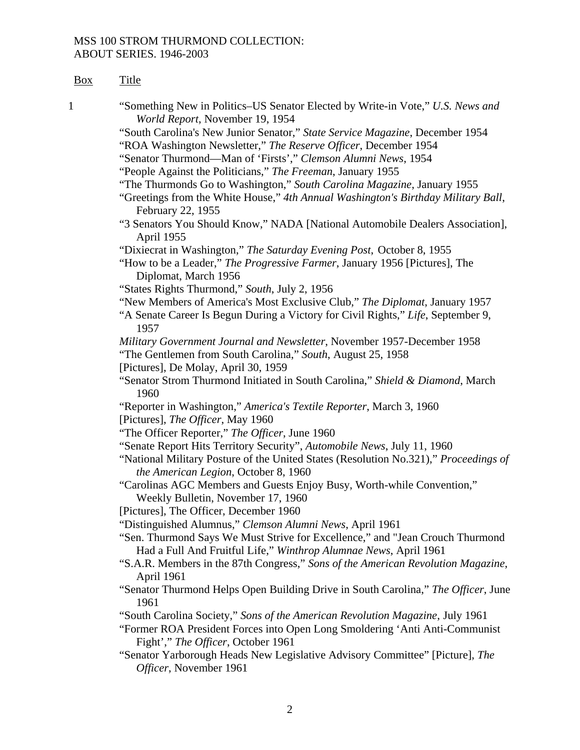| Box | <b>Title</b>                                                                                                                                                                                                  |
|-----|---------------------------------------------------------------------------------------------------------------------------------------------------------------------------------------------------------------|
| 1   | "Something New in Politics-US Senator Elected by Write-in Vote," U.S. News and<br>World Report, November 19, 1954                                                                                             |
|     | "South Carolina's New Junior Senator," State Service Magazine, December 1954<br>"ROA Washington Newsletter," The Reserve Officer, December 1954                                                               |
|     | "Senator Thurmond—Man of 'Firsts'," Clemson Alumni News, 1954                                                                                                                                                 |
|     | "People Against the Politicians," The Freeman, January 1955                                                                                                                                                   |
|     | "The Thurmonds Go to Washington," South Carolina Magazine, January 1955<br>"Greetings from the White House," 4th Annual Washington's Birthday Military Ball,<br>February 22, 1955                             |
|     | "3 Senators You Should Know," NADA [National Automobile Dealers Association],<br>April 1955                                                                                                                   |
|     | "Dixiecrat in Washington," The Saturday Evening Post, October 8, 1955                                                                                                                                         |
|     | "How to be a Leader," <i>The Progressive Farmer</i> , January 1956 [Pictures], The<br>Diplomat, March 1956                                                                                                    |
|     | "States Rights Thurmond," South, July 2, 1956                                                                                                                                                                 |
|     | "New Members of America's Most Exclusive Club," The Diplomat, January 1957                                                                                                                                    |
|     | "A Senate Career Is Begun During a Victory for Civil Rights," Life, September 9,<br>1957                                                                                                                      |
|     | Military Government Journal and Newsletter, November 1957-December 1958                                                                                                                                       |
|     | "The Gentlemen from South Carolina," South, August 25, 1958                                                                                                                                                   |
|     | [Pictures], De Molay, April 30, 1959                                                                                                                                                                          |
|     | "Senator Strom Thurmond Initiated in South Carolina," Shield & Diamond, March<br>1960                                                                                                                         |
|     | "Reporter in Washington," America's Textile Reporter, March 3, 1960                                                                                                                                           |
|     | [Pictures], The Officer, May 1960                                                                                                                                                                             |
|     | "The Officer Reporter," The Officer, June 1960                                                                                                                                                                |
|     | "Senate Report Hits Territory Security", Automobile News, July 11, 1960<br>"National Military Posture of the United States (Resolution No.321)," Proceedings of<br>the American Legion, October 8, 1960       |
|     | "Carolinas AGC Members and Guests Enjoy Busy, Worth-while Convention,"<br>Weekly Bulletin, November 17, 1960                                                                                                  |
|     | [Pictures], The Officer, December 1960                                                                                                                                                                        |
|     | "Distinguished Alumnus," Clemson Alumni News, April 1961<br>"Sen. Thurmond Says We Must Strive for Excellence," and "Jean Crouch Thurmond<br>Had a Full And Fruitful Life," Winthrop Alumnae News, April 1961 |
|     | "S.A.R. Members in the 87th Congress," Sons of the American Revolution Magazine,<br>April 1961                                                                                                                |
|     | "Senator Thurmond Helps Open Building Drive in South Carolina," The Officer, June<br>1961                                                                                                                     |
|     | "South Carolina Society," Sons of the American Revolution Magazine, July 1961                                                                                                                                 |
|     | "Former ROA President Forces into Open Long Smoldering 'Anti Anti-Communist<br>Fight'," The Officer, October 1961                                                                                             |
|     | "Senator Yarborough Heads New Legislative Advisory Committee" [Picture], The<br>Officer, November 1961                                                                                                        |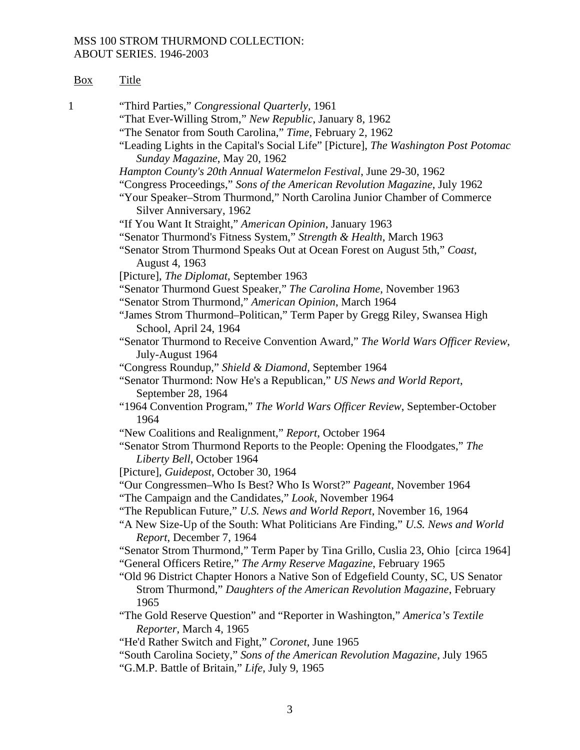| Box | <b>Title</b>                                                                                                                                                                          |
|-----|---------------------------------------------------------------------------------------------------------------------------------------------------------------------------------------|
| 1   | "Third Parties," Congressional Quarterly, 1961<br>"That Ever-Willing Strom," New Republic, January 8, 1962                                                                            |
|     | "The Senator from South Carolina," Time, February 2, 1962                                                                                                                             |
|     | "Leading Lights in the Capital's Social Life" [Picture], The Washington Post Potomac<br>Sunday Magazine, May 20, 1962                                                                 |
|     | Hampton County's 20th Annual Watermelon Festival, June 29-30, 1962                                                                                                                    |
|     | "Congress Proceedings," Sons of the American Revolution Magazine, July 1962<br>"Your Speaker-Strom Thurmond," North Carolina Junior Chamber of Commerce<br>Silver Anniversary, 1962   |
|     | "If You Want It Straight," American Opinion, January 1963                                                                                                                             |
|     | "Senator Thurmond's Fitness System," Strength & Health, March 1963                                                                                                                    |
|     | "Senator Strom Thurmond Speaks Out at Ocean Forest on August 5th," Coast,<br>August 4, 1963                                                                                           |
|     | [Picture], The Diplomat, September 1963                                                                                                                                               |
|     | "Senator Thurmond Guest Speaker," The Carolina Home, November 1963<br>"Senator Strom Thurmond," American Opinion, March 1964                                                          |
|     | "James Strom Thurmond–Politican," Term Paper by Gregg Riley, Swansea High<br>School, April 24, 1964                                                                                   |
|     | "Senator Thurmond to Receive Convention Award," The World Wars Officer Review,<br>July-August 1964                                                                                    |
|     | "Congress Roundup," Shield & Diamond, September 1964                                                                                                                                  |
|     | "Senator Thurmond: Now He's a Republican," US News and World Report,<br>September 28, 1964                                                                                            |
|     | "1964 Convention Program," The World Wars Officer Review, September-October<br>1964                                                                                                   |
|     | "New Coalitions and Realignment," Report, October 1964                                                                                                                                |
|     | "Senator Strom Thurmond Reports to the People: Opening the Floodgates," The<br>Liberty Bell, October 1964                                                                             |
|     | [Picture], Guidepost, October 30, 1964                                                                                                                                                |
|     | "Our Congressmen-Who Is Best? Who Is Worst?" Pageant, November 1964<br>"The Campaign and the Candidates," Look, November 1964                                                         |
|     | "The Republican Future," U.S. News and World Report, November 16, 1964<br>"A New Size-Up of the South: What Politicians Are Finding," U.S. News and World<br>Report, December 7, 1964 |
|     | "Senator Strom Thurmond," Term Paper by Tina Grillo, Cuslia 23, Ohio [circa 1964]                                                                                                     |
|     | "General Officers Retire," The Army Reserve Magazine, February 1965                                                                                                                   |
|     | "Old 96 District Chapter Honors a Native Son of Edgefield County, SC, US Senator<br>Strom Thurmond," Daughters of the American Revolution Magazine, February<br>1965                  |
|     | "The Gold Reserve Question" and "Reporter in Washington," America's Textile<br>Reporter, March 4, 1965                                                                                |
|     | "He'd Rather Switch and Fight," Coronet, June 1965                                                                                                                                    |
|     | "South Carolina Society," Sons of the American Revolution Magazine, July 1965<br>"G.M.P. Battle of Britain," Life, July 9, 1965                                                       |
|     |                                                                                                                                                                                       |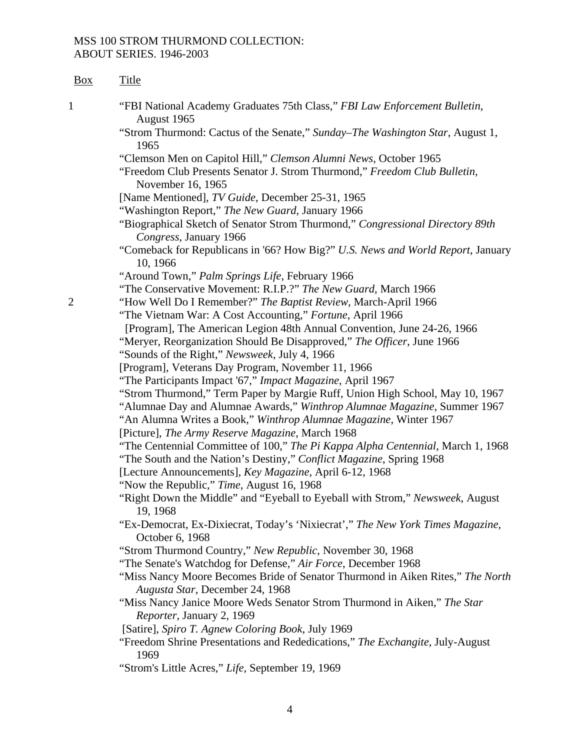| Box | <b>Title</b>                                                                                                                                            |
|-----|---------------------------------------------------------------------------------------------------------------------------------------------------------|
| 1   | "FBI National Academy Graduates 75th Class," FBI Law Enforcement Bulletin,<br>August 1965                                                               |
|     | "Strom Thurmond: Cactus of the Senate," Sunday–The Washington Star, August 1,<br>1965                                                                   |
|     | "Clemson Men on Capitol Hill," Clemson Alumni News, October 1965                                                                                        |
|     | "Freedom Club Presents Senator J. Strom Thurmond," Freedom Club Bulletin,<br>November 16, 1965                                                          |
|     | [Name Mentioned], TV Guide, December 25-31, 1965                                                                                                        |
|     | "Washington Report," The New Guard, January 1966                                                                                                        |
|     | "Biographical Sketch of Senator Strom Thurmond," Congressional Directory 89th<br>Congress, January 1966                                                 |
|     | "Comeback for Republicans in '66? How Big?" U.S. News and World Report, January<br>10, 1966                                                             |
|     | "Around Town," Palm Springs Life, February 1966                                                                                                         |
|     | "The Conservative Movement: R.I.P.?" The New Guard, March 1966                                                                                          |
| 2   | "How Well Do I Remember?" The Baptist Review, March-April 1966                                                                                          |
|     | "The Vietnam War: A Cost Accounting," Fortune, April 1966                                                                                               |
|     | [Program], The American Legion 48th Annual Convention, June 24-26, 1966                                                                                 |
|     | "Meryer, Reorganization Should Be Disapproved," The Officer, June 1966                                                                                  |
|     | "Sounds of the Right," Newsweek, July 4, 1966                                                                                                           |
|     | [Program], Veterans Day Program, November 11, 1966                                                                                                      |
|     | "The Participants Impact '67," Impact Magazine, April 1967                                                                                              |
|     | "Strom Thurmond," Term Paper by Margie Ruff, Union High School, May 10, 1967                                                                            |
|     | "Alumnae Day and Alumnae Awards," Winthrop Alumnae Magazine, Summer 1967<br>"An Alumna Writes a Book," Winthrop Alumnae Magazine, Winter 1967           |
|     | [Picture], The Army Reserve Magazine, March 1968                                                                                                        |
|     | "The Centennial Committee of 100," The Pi Kappa Alpha Centennial, March 1, 1968<br>"The South and the Nation's Destiny," Conflict Magazine, Spring 1968 |
|     | [Lecture Announcements], Key Magazine, April 6-12, 1968                                                                                                 |
|     | "Now the Republic," Time, August 16, 1968                                                                                                               |
|     | "Right Down the Middle" and "Eyeball to Eyeball with Strom," Newsweek, August<br>19, 1968                                                               |
|     | "Ex-Democrat, Ex-Dixiecrat, Today's 'Nixiecrat'," The New York Times Magazine,<br>October 6, 1968                                                       |
|     | "Strom Thurmond Country," New Republic, November 30, 1968                                                                                               |
|     | "The Senate's Watchdog for Defense," Air Force, December 1968                                                                                           |
|     | "Miss Nancy Moore Becomes Bride of Senator Thurmond in Aiken Rites," The North<br>Augusta Star, December 24, 1968                                       |
|     | "Miss Nancy Janice Moore Weds Senator Strom Thurmond in Aiken," The Star<br>Reporter, January 2, 1969                                                   |
|     | [Satire], Spiro T. Agnew Coloring Book, July 1969                                                                                                       |
|     | "Freedom Shrine Presentations and Rededications," The Exchangite, July-August<br>1969                                                                   |
|     | "Strom's Little Acres," Life, September 19, 1969                                                                                                        |

4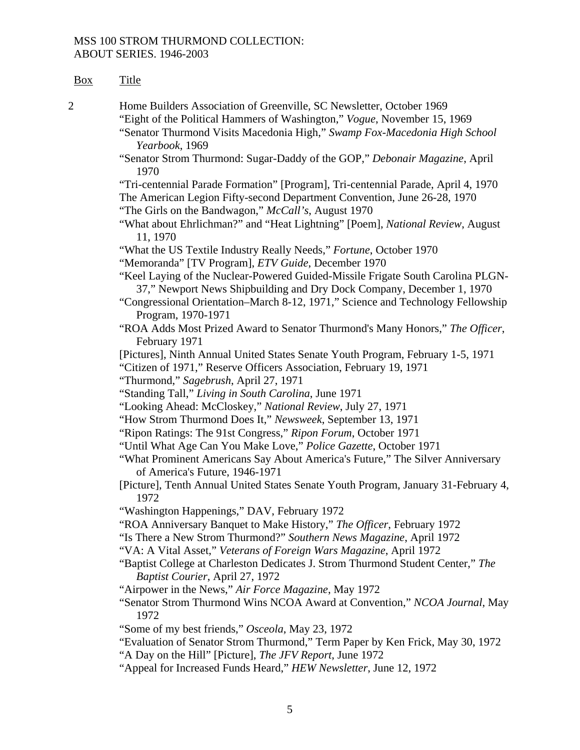| Box            | <b>Title</b>                                                                                                                                                                                                                                                                                                                  |
|----------------|-------------------------------------------------------------------------------------------------------------------------------------------------------------------------------------------------------------------------------------------------------------------------------------------------------------------------------|
| $\overline{c}$ | Home Builders Association of Greenville, SC Newsletter, October 1969<br>"Eight of the Political Hammers of Washington," Vogue, November 15, 1969<br>"Senator Thurmond Visits Macedonia High," Swamp Fox-Macedonia High School<br>Yearbook, 1969<br>"Senator Strom Thurmond: Sugar-Daddy of the GOP," Debonair Magazine, April |
|                | 1970                                                                                                                                                                                                                                                                                                                          |
|                | "Tri-centennial Parade Formation" [Program], Tri-centennial Parade, April 4, 1970<br>The American Legion Fifty-second Department Convention, June 26-28, 1970<br>"The Girls on the Bandwagon," McCall's, August 1970                                                                                                          |
|                | "What about Ehrlichman?" and "Heat Lightning" [Poem], National Review, August<br>11, 1970                                                                                                                                                                                                                                     |
|                | "What the US Textile Industry Really Needs," Fortune, October 1970<br>"Memoranda" [TV Program], ETV Guide, December 1970                                                                                                                                                                                                      |
|                | "Keel Laying of the Nuclear-Powered Guided-Missile Frigate South Carolina PLGN-<br>37," Newport News Shipbuilding and Dry Dock Company, December 1, 1970                                                                                                                                                                      |
|                | "Congressional Orientation-March 8-12, 1971," Science and Technology Fellowship<br>Program, 1970-1971                                                                                                                                                                                                                         |
|                | "ROA Adds Most Prized Award to Senator Thurmond's Many Honors," The Officer,<br>February 1971                                                                                                                                                                                                                                 |
|                | [Pictures], Ninth Annual United States Senate Youth Program, February 1-5, 1971<br>"Citizen of 1971," Reserve Officers Association, February 19, 1971<br>"Thurmond," Sagebrush, April 27, 1971                                                                                                                                |
|                | "Standing Tall," Living in South Carolina, June 1971                                                                                                                                                                                                                                                                          |
|                | "Looking Ahead: McCloskey," National Review, July 27, 1971                                                                                                                                                                                                                                                                    |
|                | "How Strom Thurmond Does It," Newsweek, September 13, 1971                                                                                                                                                                                                                                                                    |
|                | "Ripon Ratings: The 91st Congress," Ripon Forum, October 1971                                                                                                                                                                                                                                                                 |
|                | "Until What Age Can You Make Love," Police Gazette, October 1971                                                                                                                                                                                                                                                              |
|                | "What Prominent Americans Say About America's Future," The Silver Anniversary<br>of America's Future, 1946-1971                                                                                                                                                                                                               |
|                | [Picture], Tenth Annual United States Senate Youth Program, January 31-February 4,<br>1972                                                                                                                                                                                                                                    |
|                | "Washington Happenings," DAV, February 1972                                                                                                                                                                                                                                                                                   |
|                | "ROA Anniversary Banquet to Make History," The Officer, February 1972                                                                                                                                                                                                                                                         |
|                | "Is There a New Strom Thurmond?" Southern News Magazine, April 1972                                                                                                                                                                                                                                                           |
|                | "VA: A Vital Asset," Veterans of Foreign Wars Magazine, April 1972                                                                                                                                                                                                                                                            |
|                | "Baptist College at Charleston Dedicates J. Strom Thurmond Student Center," The<br>Baptist Courier, April 27, 1972                                                                                                                                                                                                            |
|                | "Airpower in the News," Air Force Magazine, May 1972                                                                                                                                                                                                                                                                          |
|                | "Senator Strom Thurmond Wins NCOA Award at Convention," NCOA Journal, May<br>1972                                                                                                                                                                                                                                             |
|                | "Some of my best friends," Osceola, May 23, 1972                                                                                                                                                                                                                                                                              |
|                | "Evaluation of Senator Strom Thurmond," Term Paper by Ken Frick, May 30, 1972<br>"A Day on the Hill" [Picture], The JFV Report, June 1972                                                                                                                                                                                     |
|                | "Anneel for Ingressed Eurice Heart" HEW Maugletter, June 12, 1072                                                                                                                                                                                                                                                             |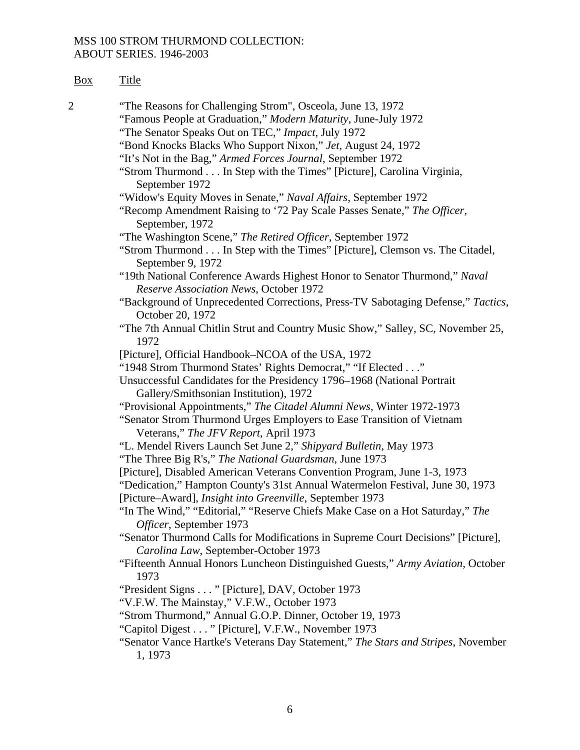| Box            | <b>Title</b>                                                                                                                                              |
|----------------|-----------------------------------------------------------------------------------------------------------------------------------------------------------|
| $\overline{2}$ | "The Reasons for Challenging Strom", Osceola, June 13, 1972<br>"Famous People at Graduation," Modern Maturity, June-July 1972                             |
|                | "The Senator Speaks Out on TEC," Impact, July 1972                                                                                                        |
|                | "Bond Knocks Blacks Who Support Nixon," Jet, August 24, 1972                                                                                              |
|                | "It's Not in the Bag," Armed Forces Journal, September 1972                                                                                               |
|                | "Strom Thurmond In Step with the Times" [Picture], Carolina Virginia,<br>September 1972                                                                   |
|                | "Widow's Equity Moves in Senate," Naval Affairs, September 1972                                                                                           |
|                | "Recomp Amendment Raising to '72 Pay Scale Passes Senate," The Officer,<br>September, 1972                                                                |
|                | "The Washington Scene," The Retired Officer, September 1972                                                                                               |
|                | "Strom Thurmond In Step with the Times" [Picture], Clemson vs. The Citadel,<br>September 9, 1972                                                          |
|                | "19th National Conference Awards Highest Honor to Senator Thurmond," Naval<br>Reserve Association News, October 1972                                      |
|                | "Background of Unprecedented Corrections, Press-TV Sabotaging Defense," Tactics,<br>October 20, 1972                                                      |
|                | "The 7th Annual Chitlin Strut and Country Music Show," Salley, SC, November 25,<br>1972                                                                   |
|                | [Picture], Official Handbook-NCOA of the USA, 1972                                                                                                        |
|                | "1948 Strom Thurmond States' Rights Democrat," "If Elected"                                                                                               |
|                | Unsuccessful Candidates for the Presidency 1796-1968 (National Portrait                                                                                   |
|                | Gallery/Smithsonian Institution), 1972                                                                                                                    |
|                | "Provisional Appointments," The Citadel Alumni News, Winter 1972-1973                                                                                     |
|                | "Senator Strom Thurmond Urges Employers to Ease Transition of Vietnam<br>Veterans," The JFV Report, April 1973                                            |
|                | "L. Mendel Rivers Launch Set June 2," Shipyard Bulletin, May 1973                                                                                         |
|                | "The Three Big R's," The National Guardsman, June 1973                                                                                                    |
|                | [Picture], Disabled American Veterans Convention Program, June 1-3, 1973<br>"Dedication," Hampton County's 31st Annual Watermelon Festival, June 30, 1973 |
|                | [Picture-Award], Insight into Greenville, September 1973                                                                                                  |
|                | "In The Wind," "Editorial," "Reserve Chiefs Make Case on a Hot Saturday," The<br>Officer, September 1973                                                  |
|                | "Senator Thurmond Calls for Modifications in Supreme Court Decisions" [Picture],<br>Carolina Law, September-October 1973                                  |
|                | "Fifteenth Annual Honors Luncheon Distinguished Guests," Army Aviation, October<br>1973                                                                   |
|                | "President Signs " [Picture], DAV, October 1973                                                                                                           |
|                | "V.F.W. The Mainstay," V.F.W., October 1973                                                                                                               |
|                | "Strom Thurmond," Annual G.O.P. Dinner, October 19, 1973                                                                                                  |
|                | "Capitol Digest " [Picture], V.F.W., November 1973                                                                                                        |
|                | "Senator Vance Hartke's Veterans Day Statement," The Stars and Stripes, November<br>1, 1973                                                               |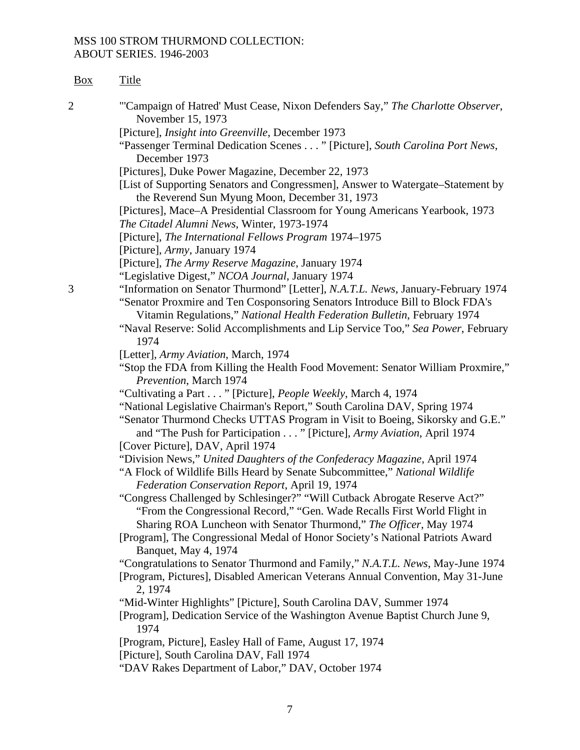| Box | <b>Title</b>                                                                                                                                                                                                                                                                                                                     |
|-----|----------------------------------------------------------------------------------------------------------------------------------------------------------------------------------------------------------------------------------------------------------------------------------------------------------------------------------|
| 2   | "Campaign of Hatred' Must Cease, Nixon Defenders Say," The Charlotte Observer,<br>November 15, 1973                                                                                                                                                                                                                              |
|     | [Picture], Insight into Greenville, December 1973                                                                                                                                                                                                                                                                                |
|     | "Passenger Terminal Dedication Scenes " [Picture], South Carolina Port News,<br>December 1973                                                                                                                                                                                                                                    |
|     | [Pictures], Duke Power Magazine, December 22, 1973                                                                                                                                                                                                                                                                               |
|     | [List of Supporting Senators and Congressmen], Answer to Watergate–Statement by<br>the Reverend Sun Myung Moon, December 31, 1973                                                                                                                                                                                                |
|     | [Pictures], Mace-A Presidential Classroom for Young Americans Yearbook, 1973<br>The Citadel Alumni News, Winter, 1973-1974                                                                                                                                                                                                       |
|     | [Picture], The International Fellows Program 1974–1975<br>[Picture], Army, January 1974                                                                                                                                                                                                                                          |
|     | [Picture], The Army Reserve Magazine, January 1974                                                                                                                                                                                                                                                                               |
|     | "Legislative Digest," NCOA Journal, January 1974                                                                                                                                                                                                                                                                                 |
| 3   | "Information on Senator Thurmond" [Letter], N.A.T.L. News, January-February 1974<br>"Senator Proxmire and Ten Cosponsoring Senators Introduce Bill to Block FDA's<br>Vitamin Regulations," National Health Federation Bulletin, February 1974<br>"Naval Reserve: Solid Accomplishments and Lip Service Too," Sea Power, February |
|     | 1974                                                                                                                                                                                                                                                                                                                             |
|     | [Letter], Army Aviation, March, 1974<br>"Stop the FDA from Killing the Health Food Movement: Senator William Proxmire,"<br>Prevention, March 1974                                                                                                                                                                                |
|     | "Cultivating a Part " [Picture], People Weekly, March 4, 1974                                                                                                                                                                                                                                                                    |
|     | "National Legislative Chairman's Report," South Carolina DAV, Spring 1974                                                                                                                                                                                                                                                        |
|     | "Senator Thurmond Checks UTTAS Program in Visit to Boeing, Sikorsky and G.E."<br>and "The Push for Participation " [Picture], Army Aviation, April 1974                                                                                                                                                                          |
|     | [Cover Picture], DAV, April 1974                                                                                                                                                                                                                                                                                                 |
|     | "Division News," United Daughters of the Confederacy Magazine, April 1974<br>"A Flock of Wildlife Bills Heard by Senate Subcommittee," National Wildlife<br>Federation Conservation Report, April 19, 1974                                                                                                                       |
|     | "Congress Challenged by Schlesinger?" "Will Cutback Abrogate Reserve Act?"<br>"From the Congressional Record," "Gen. Wade Recalls First World Flight in                                                                                                                                                                          |
|     | Sharing ROA Luncheon with Senator Thurmond," The Officer, May 1974                                                                                                                                                                                                                                                               |
|     | [Program], The Congressional Medal of Honor Society's National Patriots Award<br>Banquet, May 4, 1974                                                                                                                                                                                                                            |
|     | "Congratulations to Senator Thurmond and Family," N.A.T.L. News, May-June 1974<br>[Program, Pictures], Disabled American Veterans Annual Convention, May 31-June<br>2, 1974                                                                                                                                                      |
|     | "Mid-Winter Highlights" [Picture], South Carolina DAV, Summer 1974                                                                                                                                                                                                                                                               |
|     | [Program], Dedication Service of the Washington Avenue Baptist Church June 9,<br>1974                                                                                                                                                                                                                                            |
|     | [Program, Picture], Easley Hall of Fame, August 17, 1974<br>[Picture], South Carolina DAV, Fall 1974                                                                                                                                                                                                                             |
|     | "DAV Rakes Department of Labor," DAV, October 1974                                                                                                                                                                                                                                                                               |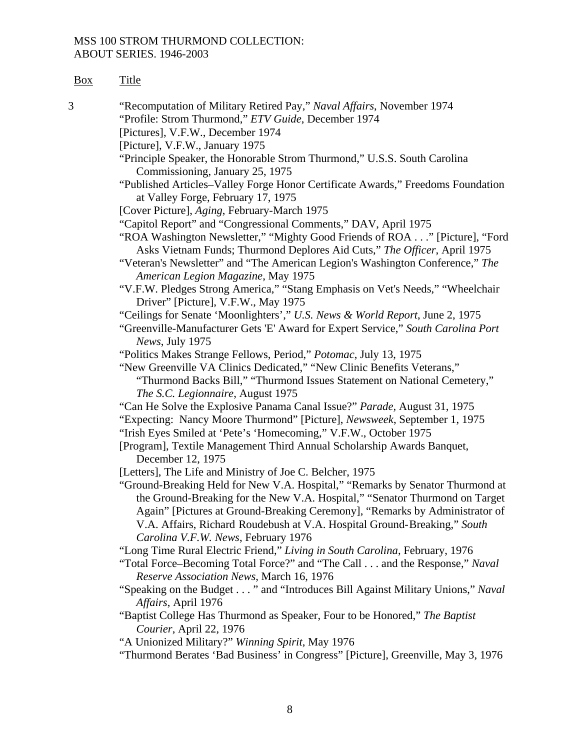| вох | itle |
|-----|------|
|     |      |

3 "Recomputation of Military Retired Pay," *Naval Affairs*, November 1974 "Profile: Strom Thurmond," *ETV Guide*, December 1974 [Pictures], V.F.W., December 1974 [Picture], V.F.W., January 1975 "Principle Speaker, the Honorable Strom Thurmond," U.S.S. South Carolina Commissioning, January 25, 1975 "Published Articles–Valley Forge Honor Certificate Awards," Freedoms Foundation at Valley Forge, February 17, 1975 [Cover Picture], *Aging*, February-March 1975 "Capitol Report" and "Congressional Comments," DAV, April 1975 "ROA Washington Newsletter," "Mighty Good Friends of ROA . . ." [Picture], "Ford Asks Vietnam Funds; Thurmond Deplores Aid Cuts," *The Officer*, April 1975 "Veteran's Newsletter" and "The American Legion's Washington Conference," *The American Legion Magazine*, May 1975 "V.F.W. Pledges Strong America," "Stang Emphasis on Vet's Needs," "Wheelchair Driver" [Picture], V.F.W., May 1975 "Ceilings for Senate 'Moonlighters'," *U.S. News & World Report*, June 2, 1975 "Greenville-Manufacturer Gets 'E' Award for Expert Service," *South Carolina Port News*, July 1975 "Politics Makes Strange Fellows, Period," *Potomac*, July 13, 1975 "New Greenville VA Clinics Dedicated," "New Clinic Benefits Veterans," "Thurmond Backs Bill," "Thurmond Issues Statement on National Cemetery," *The S.C. Legionnaire*, August 1975 "Can He Solve the Explosive Panama Canal Issue?" *Parade,* August 31, 1975 "Expecting: Nancy Moore Thurmond" [Picture], *Newsweek*, September 1, 1975 "Irish Eyes Smiled at 'Pete's 'Homecoming," V.F.W., October 1975 [Program], Textile Management Third Annual Scholarship Awards Banquet, December 12, 1975 [Letters], The Life and Ministry of Joe C. Belcher, 1975] "Ground-Breaking Held for New V.A. Hospital," "Remarks by Senator Thurmond at the Ground-Breaking for the New V.A. Hospital," "Senator Thurmond on Target Again" [Pictures at Ground-Breaking Ceremony], "Remarks by Administrator of V.A. Affairs, Richard Roudebush at V.A. Hospital Ground- Breaking," *South Carolina V.F.W. News*, February 1976 "Long Time Rural Electric Friend," *Living in South Carolina*, February, 1976 "Total Force–Becoming Total Force?" and "The Call . . . and the Response," *Naval Reserve Association News*, March 16, 1976 "Speaking on the Budget . . . " and "Introduces Bill Against Military Unions," *Naval Affairs*, April 1976 "Baptist College Has Thurmond as Speaker, Four to be Honored," *The Baptist Courier*, April 22, 1976 "A Unionized Military?" *Winning Spirit*, May 1976 "Thurmond Berates 'Bad Business' in Congress" [Picture], Greenville, May 3, 1976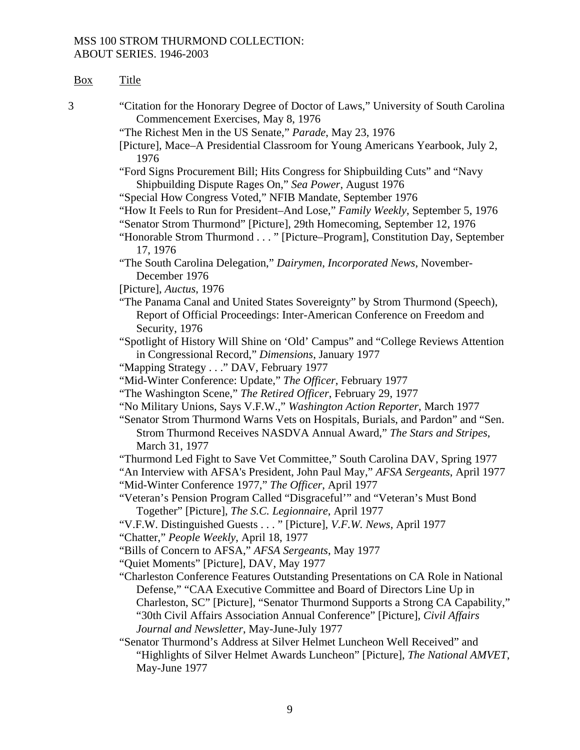| Box | <b>Title</b>                                                                                                                                                                                                                                                                                                                                                            |
|-----|-------------------------------------------------------------------------------------------------------------------------------------------------------------------------------------------------------------------------------------------------------------------------------------------------------------------------------------------------------------------------|
| 3   | "Citation for the Honorary Degree of Doctor of Laws," University of South Carolina<br>Commencement Exercises, May 8, 1976                                                                                                                                                                                                                                               |
|     | "The Richest Men in the US Senate," Parade, May 23, 1976                                                                                                                                                                                                                                                                                                                |
|     | [Picture], Mace–A Presidential Classroom for Young Americans Yearbook, July 2,<br>1976                                                                                                                                                                                                                                                                                  |
|     | "Ford Signs Procurement Bill; Hits Congress for Shipbuilding Cuts" and "Navy<br>Shipbuilding Dispute Rages On," Sea Power, August 1976                                                                                                                                                                                                                                  |
|     | "Special How Congress Voted," NFIB Mandate, September 1976                                                                                                                                                                                                                                                                                                              |
|     | "How It Feels to Run for President-And Lose," Family Weekly, September 5, 1976                                                                                                                                                                                                                                                                                          |
|     | "Senator Strom Thurmond" [Picture], 29th Homecoming, September 12, 1976<br>"Honorable Strom Thurmond " [Picture–Program], Constitution Day, September<br>17, 1976                                                                                                                                                                                                       |
|     | "The South Carolina Delegation," Dairymen, Incorporated News, November-<br>December 1976                                                                                                                                                                                                                                                                                |
|     | [Picture], Auctus, 1976                                                                                                                                                                                                                                                                                                                                                 |
|     | "The Panama Canal and United States Sovereignty" by Strom Thurmond (Speech),                                                                                                                                                                                                                                                                                            |
|     | Report of Official Proceedings: Inter-American Conference on Freedom and<br>Security, 1976                                                                                                                                                                                                                                                                              |
|     | "Spotlight of History Will Shine on 'Old' Campus" and "College Reviews Attention                                                                                                                                                                                                                                                                                        |
|     | in Congressional Record," Dimensions, January 1977                                                                                                                                                                                                                                                                                                                      |
|     | "Mapping Strategy" DAV, February 1977                                                                                                                                                                                                                                                                                                                                   |
|     | "Mid-Winter Conference: Update," The Officer, February 1977                                                                                                                                                                                                                                                                                                             |
|     | "The Washington Scene," The Retired Officer, February 29, 1977                                                                                                                                                                                                                                                                                                          |
|     | "No Military Unions, Says V.F.W.," Washington Action Reporter, March 1977                                                                                                                                                                                                                                                                                               |
|     | "Senator Strom Thurmond Warns Vets on Hospitals, Burials, and Pardon" and "Sen.                                                                                                                                                                                                                                                                                         |
|     | Strom Thurmond Receives NASDVA Annual Award," The Stars and Stripes,                                                                                                                                                                                                                                                                                                    |
|     | March 31, 1977                                                                                                                                                                                                                                                                                                                                                          |
|     | "Thurmond Led Fight to Save Vet Committee," South Carolina DAV, Spring 1977<br>"An Interview with AFSA's President, John Paul May," AFSA Sergeants, April 1977                                                                                                                                                                                                          |
|     | "Mid-Winter Conference 1977," The Officer, April 1977                                                                                                                                                                                                                                                                                                                   |
|     | "Veteran's Pension Program Called "Disgraceful"" and "Veteran's Must Bond                                                                                                                                                                                                                                                                                               |
|     | Together" [Picture], The S.C. Legionnaire, April 1977                                                                                                                                                                                                                                                                                                                   |
|     | "V.F.W. Distinguished Guests " [Picture], V.F.W. News, April 1977                                                                                                                                                                                                                                                                                                       |
|     | "Chatter," People Weekly, April 18, 1977                                                                                                                                                                                                                                                                                                                                |
|     | "Bills of Concern to AFSA," AFSA Sergeants, May 1977                                                                                                                                                                                                                                                                                                                    |
|     | "Quiet Moments" [Picture], DAV, May 1977                                                                                                                                                                                                                                                                                                                                |
|     | "Charleston Conference Features Outstanding Presentations on CA Role in National<br>Defense," "CAA Executive Committee and Board of Directors Line Up in<br>Charleston, SC" [Picture], "Senator Thurmond Supports a Strong CA Capability,"<br>"30th Civil Affairs Association Annual Conference" [Picture], Civil Affairs<br>Journal and Newsletter, May-June-July 1977 |
|     | "Senator Thurmond's Address at Silver Helmet Luncheon Well Received" and                                                                                                                                                                                                                                                                                                |
|     | "Highlights of Silver Helmet Awards Luncheon" [Picture], The National AMVET,<br>May-June 1977                                                                                                                                                                                                                                                                           |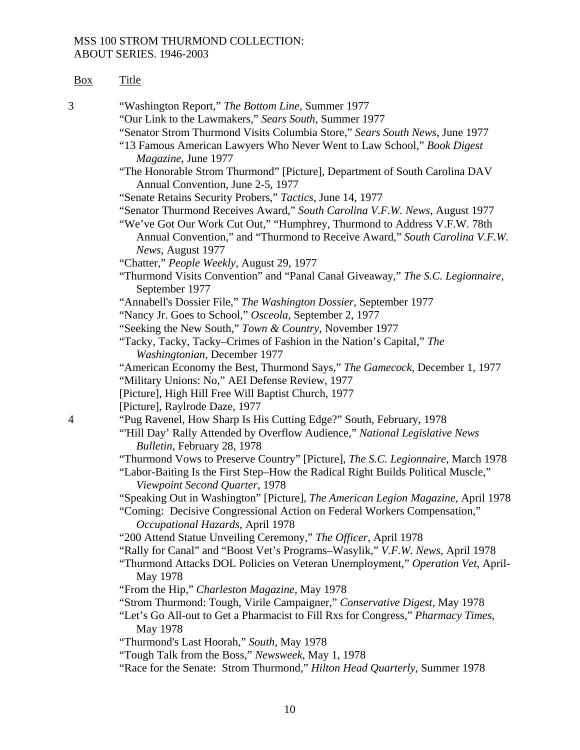| <b>Box</b>     | <b>Title</b>                                                                                                                                                                                                                                              |
|----------------|-----------------------------------------------------------------------------------------------------------------------------------------------------------------------------------------------------------------------------------------------------------|
| 3              | "Washington Report," The Bottom Line, Summer 1977<br>"Our Link to the Lawmakers," Sears South, Summer 1977                                                                                                                                                |
|                | "Senator Strom Thurmond Visits Columbia Store," Sears South News, June 1977<br>"13 Famous American Lawyers Who Never Went to Law School," Book Digest<br>Magazine, June 1977                                                                              |
|                | "The Honorable Strom Thurmond" [Picture], Department of South Carolina DAV<br>Annual Convention, June 2-5, 1977                                                                                                                                           |
|                | "Senate Retains Security Probers," Tactics, June 14, 1977                                                                                                                                                                                                 |
|                | "Senator Thurmond Receives Award," South Carolina V.F.W. News, August 1977<br>"We've Got Our Work Cut Out," "Humphrey, Thurmond to Address V.F.W. 78th<br>Annual Convention," and "Thurmond to Receive Award," South Carolina V.F.W.<br>News, August 1977 |
|                | "Chatter," People Weekly, August 29, 1977                                                                                                                                                                                                                 |
|                | "Thurmond Visits Convention" and "Panal Canal Giveaway," The S.C. Legionnaire,<br>September 1977                                                                                                                                                          |
|                | "Annabell's Dossier File," The Washington Dossier, September 1977                                                                                                                                                                                         |
|                | "Nancy Jr. Goes to School," Osceola, September 2, 1977                                                                                                                                                                                                    |
|                | "Seeking the New South," Town & Country, November 1977                                                                                                                                                                                                    |
|                | "Tacky, Tacky, Tacky-Crimes of Fashion in the Nation's Capital," The<br>Washingtonian, December 1977                                                                                                                                                      |
|                | "American Economy the Best, Thurmond Says," The Gamecock, December 1, 1977<br>"Military Unions: No," AEI Defense Review, 1977                                                                                                                             |
|                | [Picture], High Hill Free Will Baptist Church, 1977<br>[Picture], Raylrode Daze, 1977                                                                                                                                                                     |
| $\overline{4}$ | "Pug Ravenel, How Sharp Is His Cutting Edge?" South, February, 1978                                                                                                                                                                                       |
|                | "Hill Day' Rally Attended by Overflow Audience," National Legislative News<br>Bulletin, February 28, 1978                                                                                                                                                 |
|                | "Thurmond Vows to Preserve Country" [Picture], The S.C. Legionnaire, March 1978<br>"Labor-Baiting Is the First Step-How the Radical Right Builds Political Muscle,"<br>Viewpoint Second Quarter, 1978                                                     |
|                | "Speaking Out in Washington" [Picture], The American Legion Magazine, April 1978<br>"Coming: Decisive Congressional Action on Federal Workers Compensation,"<br>Occupational Hazards, April 1978                                                          |
|                | "200 Attend Statue Unveiling Ceremony," The Officer, April 1978<br>"Rally for Canal" and "Boost Vet's Programs-Wasylik," V.F.W. News, April 1978<br>"Thurmond Attacks DOL Policies on Veteran Unemployment," Operation Vet, April-<br>May 1978            |
|                | "From the Hip," Charleston Magazine, May 1978                                                                                                                                                                                                             |
|                | "Strom Thurmond: Tough, Virile Campaigner," Conservative Digest, May 1978                                                                                                                                                                                 |
|                | "Let's Go All-out to Get a Pharmacist to Fill Rxs for Congress," Pharmacy Times,<br>May 1978                                                                                                                                                              |
|                | "Thurmond's Last Hoorah," South, May 1978                                                                                                                                                                                                                 |
|                | "Tough Talk from the Boss," Newsweek, May 1, 1978                                                                                                                                                                                                         |
|                | "Race for the Senate: Strom Thurmond," Hilton Head Quarterly, Summer 1978                                                                                                                                                                                 |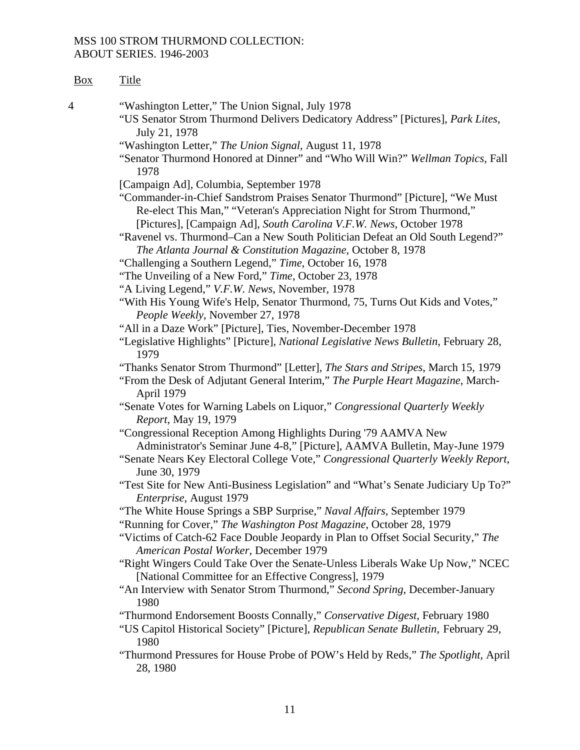| Box | <b>Title</b>                                                                                                                                                                                                                                                                                                                                                                                                              |
|-----|---------------------------------------------------------------------------------------------------------------------------------------------------------------------------------------------------------------------------------------------------------------------------------------------------------------------------------------------------------------------------------------------------------------------------|
| 4   | "Washington Letter," The Union Signal, July 1978<br>"US Senator Strom Thurmond Delivers Dedicatory Address" [Pictures], Park Lites,<br>July 21, 1978                                                                                                                                                                                                                                                                      |
|     | "Washington Letter," The Union Signal, August 11, 1978<br>"Senator Thurmond Honored at Dinner" and "Who Will Win?" Wellman Topics, Fall                                                                                                                                                                                                                                                                                   |
|     | 1978                                                                                                                                                                                                                                                                                                                                                                                                                      |
|     | [Campaign Ad], Columbia, September 1978<br>"Commander-in-Chief Sandstrom Praises Senator Thurmond" [Picture], "We Must"<br>Re-elect This Man," "Veteran's Appreciation Night for Strom Thurmond,"<br>[Pictures], [Campaign Ad], South Carolina V.F.W. News, October 1978<br>"Ravenel vs. Thurmond–Can a New South Politician Defeat an Old South Legend?"<br>The Atlanta Journal & Constitution Magazine, October 8, 1978 |
|     | "Challenging a Southern Legend," Time, October 16, 1978                                                                                                                                                                                                                                                                                                                                                                   |
|     | "The Unveiling of a New Ford," Time, October 23, 1978                                                                                                                                                                                                                                                                                                                                                                     |
|     | "A Living Legend," V.F.W. News, November, 1978                                                                                                                                                                                                                                                                                                                                                                            |
|     | "With His Young Wife's Help, Senator Thurmond, 75, Turns Out Kids and Votes,"<br>People Weekly, November 27, 1978                                                                                                                                                                                                                                                                                                         |
|     | "All in a Daze Work" [Picture], Ties, November-December 1978                                                                                                                                                                                                                                                                                                                                                              |
|     | "Legislative Highlights" [Picture], National Legislative News Bulletin, February 28,<br>1979                                                                                                                                                                                                                                                                                                                              |
|     | "Thanks Senator Strom Thurmond" [Letter], The Stars and Stripes, March 15, 1979<br>"From the Desk of Adjutant General Interim," The Purple Heart Magazine, March-<br>April 1979                                                                                                                                                                                                                                           |
|     | "Senate Votes for Warning Labels on Liquor," Congressional Quarterly Weekly<br>Report, May 19, 1979                                                                                                                                                                                                                                                                                                                       |
|     | "Congressional Reception Among Highlights During '79 AAMVA New                                                                                                                                                                                                                                                                                                                                                            |
|     | Administrator's Seminar June 4-8," [Picture], AAMVA Bulletin, May-June 1979<br>"Senate Nears Key Electoral College Vote," Congressional Quarterly Weekly Report,                                                                                                                                                                                                                                                          |
|     | June 30, 1979<br>"Test Site for New Anti-Business Legislation" and "What's Senate Judiciary Up To?"                                                                                                                                                                                                                                                                                                                       |
|     | Enterprise, August 1979                                                                                                                                                                                                                                                                                                                                                                                                   |
|     | "The White House Springs a SBP Surprise," Naval Affairs, September 1979                                                                                                                                                                                                                                                                                                                                                   |
|     | "Running for Cover," The Washington Post Magazine, October 28, 1979<br>"Victims of Catch-62 Face Double Jeopardy in Plan to Offset Social Security," The                                                                                                                                                                                                                                                                  |
|     | American Postal Worker, December 1979<br>"Right Wingers Could Take Over the Senate-Unless Liberals Wake Up Now," NCEC<br>[National Committee for an Effective Congress], 1979                                                                                                                                                                                                                                             |
|     | "An Interview with Senator Strom Thurmond," Second Spring, December-January<br>1980                                                                                                                                                                                                                                                                                                                                       |
|     | "Thurmond Endorsement Boosts Connally," Conservative Digest, February 1980<br>"US Capitol Historical Society" [Picture], Republican Senate Bulletin, February 29,<br>1980                                                                                                                                                                                                                                                 |
|     | "Thurmond Pressures for House Probe of POW's Held by Reds," The Spotlight, April<br>28, 1980                                                                                                                                                                                                                                                                                                                              |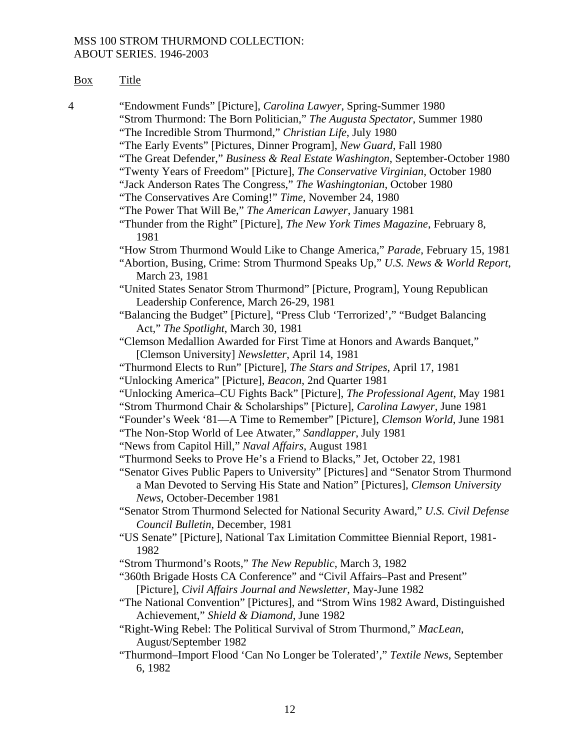| Fitle<br>вох |
|--------------|
|              |

4 "Endowment Funds" [Picture], *Carolina Lawyer*, Spring-Summer 1980 "Strom Thurmond: The Born Politician," *The Augusta Spectator*, Summer 1980 "The Incredible Strom Thurmond," *Christian Life*, July 1980 "The Early Events" [Pictures, Dinner Program], *New Guard*, Fall 1980 "The Great Defender," *Business & Real Estate Washington*, September-October 1980 "Twenty Years of Freedom" [Picture], *The Conservative Virginian*, October 1980 "Jack Anderson Rates The Congress," *The Washingtonian*, October 1980 "The Conservatives Are Coming!" *Time,* November 24, 1980 "The Power That Will Be," *The American Lawyer*, January 1981 "Thunder from the Right" [Picture], *The New York Times Magazine*, February 8, 1981 "How Strom Thurmond Would Like to Change America," *Parade*, February 15, 1981 "Abortion, Busing, Crime: Strom Thurmond Speaks Up," *U.S. News & World Report*, March 23, 1981 "United States Senator Strom Thurmond" [Picture, Program], Young Republican Leadership Conference, March 26-29, 1981 "Balancing the Budget" [Picture], "Press Club 'Terrorized'," "Budget Balancing Act," *The Spotlight*, March 30, 1981 "Clemson Medallion Awarded for First Time at Honors and Awards Banquet," [Clemson University] *Newsletter*, April 14, 1981 "Thurmond Elects to Run" [Picture], *The Stars and Stripes*, April 17, 1981 "Unlocking America" [Picture], *Beacon*, 2nd Quarter 1981 "Unlocking America–CU Fights Back" [Picture], *The Professional Agent*, May 1981 "Strom Thurmond Chair & Scholarships" [Picture], *Carolina Lawyer*, June 1981 "Founder's Week '81—A Time to Remember" [Picture], *Clemson World*, June 1981 "The Non-Stop World of Lee Atwater," *Sandlapper*, July 1981 "News from Capitol Hill," *Naval Affairs*, August 1981 "Thurmond Seeks to Prove He's a Friend to Blacks," Jet, October 22, 1981 "Senator Gives Public Papers to University" [Pictures] and "Senator Strom Thurmond a Man Devoted to Serving His State and Nation" [Pictures], *Clemson University News*, October-December 1981 "Senator Strom Thurmond Selected for National Security Award," *U.S. Civil Defense Council Bulletin*, December, 1981 "US Senate" [Picture], National Tax Limitation Committee Biennial Report, 1981- 1982 "Strom Thurmond's Roots," *The New Republic*, March 3, 1982 "360th Brigade Hosts CA Conference" and "Civil Affairs–Past and Present" [Picture], *Civil Affairs Journal and Newsletter*, May-June 1982 "The National Convention" [Pictures], and "Strom Wins 1982 Award, Distinguished Achievement," *Shield & Diamond*, June 1982 "Right-Wing Rebel: The Political Survival of Strom Thurmond," *MacLean*, August/September 1982 "Thurmond–Import Flood 'Can No Longer be Tolerated'," *Textile News*, September 6, 1982